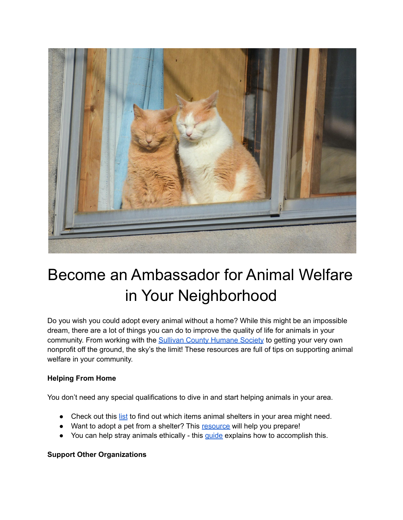

## Become an Ambassador for Animal Welfare in Your Neighborhood

Do you wish you could adopt every animal without a home? While this might be an impossible dream, there are a lot of things you can do to improve the quality of life for animals in your community. From working with the Sullivan County [Humane](http://sullivancountyhumanesociety.org) Society to getting your very own nonprofit off the ground, the sky's the limit! These resources are full of tips on supporting animal welfare in your community.

## **Helping From Home**

You don't need any special qualifications to dive in and start helping animals in your area.

- Check out this [list](https://www.tomsofmaine.com/good-matters/helping-hands/what-to-donate-to-animal-shelters-5-essential-items) to find out which items animal shelters in your area might need.
- Want to adopt a pet from a shelter? This [resource](https://tractive.com/blog/en/good-to-know/adopting-a-shelter-dog-2) will help you prepare!
- You can help stray animals ethically this quide explains how to accomplish this.

## **Support Other Organizations**